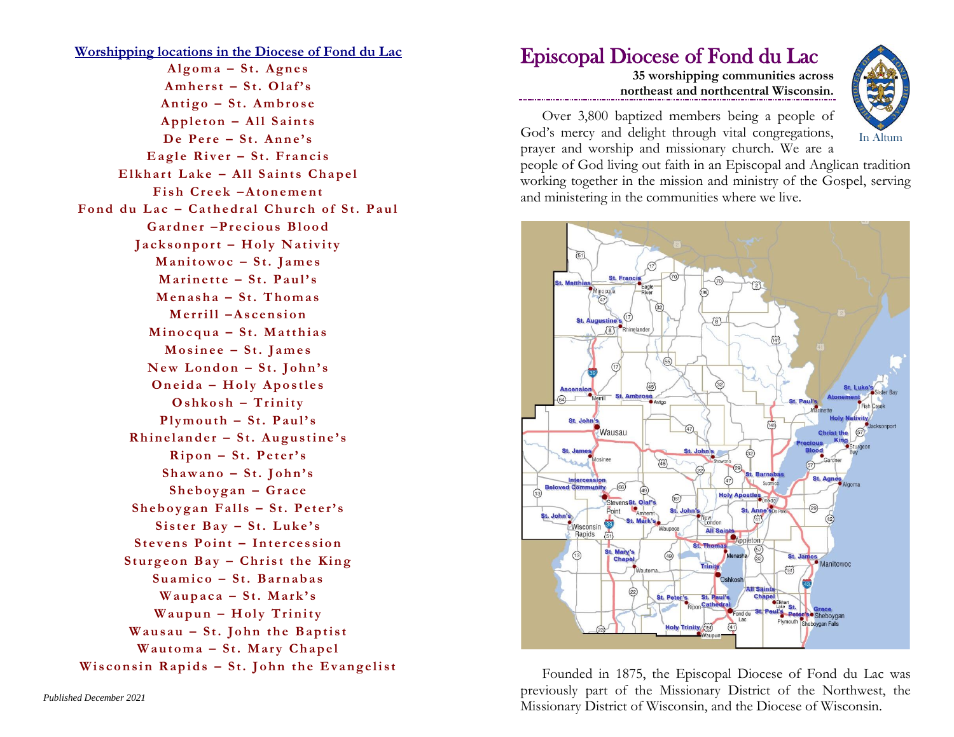**Worshipping locations in the Diocese of Fond du Lac A l g o m a – S t . A g n e s**  $Amherst - St. Olaf's$ **A n t i g o – S t . A m b r o s e**  $Appleton - All Sains$ De Pere – St. Anne's **Eagle River - St. Francis** Elkhart Lake - All Saints Chapel **Fish Creek -Atonement** Fond du Lac – Cathedral Church of St. Paul Gardner -Precious Blood **Jacksonport - Holy Nativity M a n i t o w o c – S t . J a m e s M a r i n e t t e – S t . P a u l ' s M e n a s h a – S t . T h o m a s M e r r i l l –A s c e n s i o n Minocqua - St. Matthias M o s i n e e – S t . J a m e s**  $New London - St. John's$ **Oneida - Holy Apostles**  $O shkosh - Trinity$  $P$ lymouth  $-$  St. Paul's **Rhinelander - St. Augustine's**  $Ripon - St.$  **Peter's S h a w a n o – S t . J o h n ' s S h e b o y g a n – G r a c e S h e b o y g a n F a l l s – S t . P e t e r' s** Sister Bay - St. Luke's **Stevens Point - Intercession Sturgeon Bay – Christ the King S u a m i c o – S t . B a r n a b a s W a u p a c a – S t . M a r k ' s Waupun - Holy Trinity Wausau - St. John the Baptist Wautoma - St. Mary Chapel Wisconsin Rapids - St. John the Evangelist** 

## Episcopal Diocese of Fond du Lac

**35 worshipping communities across northeast and northcentral Wisconsin.**

Over 3,800 baptized members being a people of God's mercy and delight through vital congregations, prayer and worship and missionary church. We are a



people of God living out faith in an Episcopal and Anglican tradition working together in the mission and ministry of the Gospel, serving and ministering in the communities where we live.



Founded in 1875, the Episcopal Diocese of Fond du Lac was previously part of the Missionary District of the Northwest, the Missionary District of Wisconsin, and the Diocese of Wisconsin.